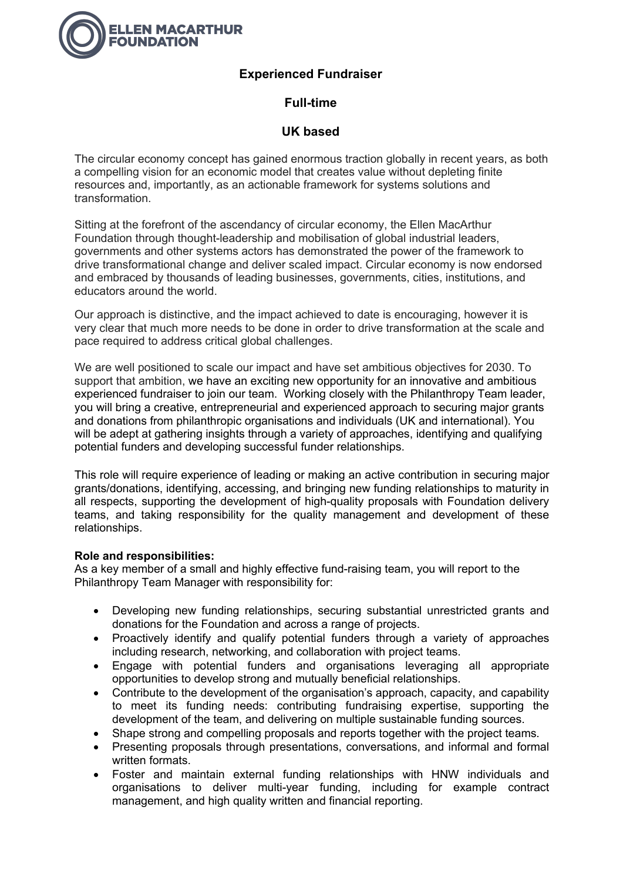

# **Experienced Fundraiser**

# **Full-time**

# **UK based**

The circular economy concept has gained enormous traction globally in recent years, as both a compelling vision for an economic model that creates value without depleting finite resources and, importantly, as an actionable framework for systems solutions and transformation.

Sitting at the forefront of the ascendancy of circular economy, the Ellen MacArthur Foundation through thought-leadership and mobilisation of global industrial leaders, governments and other systems actors has demonstrated the power of the framework to drive transformational change and deliver scaled impact. Circular economy is now endorsed and embraced by thousands of leading businesses, governments, cities, institutions, and educators around the world.

Our approach is distinctive, and the impact achieved to date is encouraging, however it is very clear that much more needs to be done in order to drive transformation at the scale and pace required to address critical global challenges.

We are well positioned to scale our impact and have set ambitious objectives for 2030. To support that ambition, we have an exciting new opportunity for an innovative and ambitious experienced fundraiser to join our team. Working closely with the Philanthropy Team leader, you will bring a creative, entrepreneurial and experienced approach to securing major grants and donations from philanthropic organisations and individuals (UK and international). You will be adept at gathering insights through a variety of approaches, identifying and qualifying potential funders and developing successful funder relationships.

This role will require experience of leading or making an active contribution in securing major grants/donations, identifying, accessing, and bringing new funding relationships to maturity in all respects, supporting the development of high-quality proposals with Foundation delivery teams, and taking responsibility for the quality management and development of these relationships.

## **Role and responsibilities:**

As a key member of a small and highly effective fund-raising team, you will report to the Philanthropy Team Manager with responsibility for:

- Developing new funding relationships, securing substantial unrestricted grants and donations for the Foundation and across a range of projects.
- Proactively identify and qualify potential funders through a variety of approaches including research, networking, and collaboration with project teams.
- Engage with potential funders and organisations leveraging all appropriate opportunities to develop strong and mutually beneficial relationships.
- Contribute to the development of the organisation's approach, capacity, and capability to meet its funding needs: contributing fundraising expertise, supporting the development of the team, and delivering on multiple sustainable funding sources.
- Shape strong and compelling proposals and reports together with the project teams.
- Presenting proposals through presentations, conversations, and informal and formal written formats.
- Foster and maintain external funding relationships with HNW individuals and organisations to deliver multi-year funding, including for example contract management, and high quality written and financial reporting.